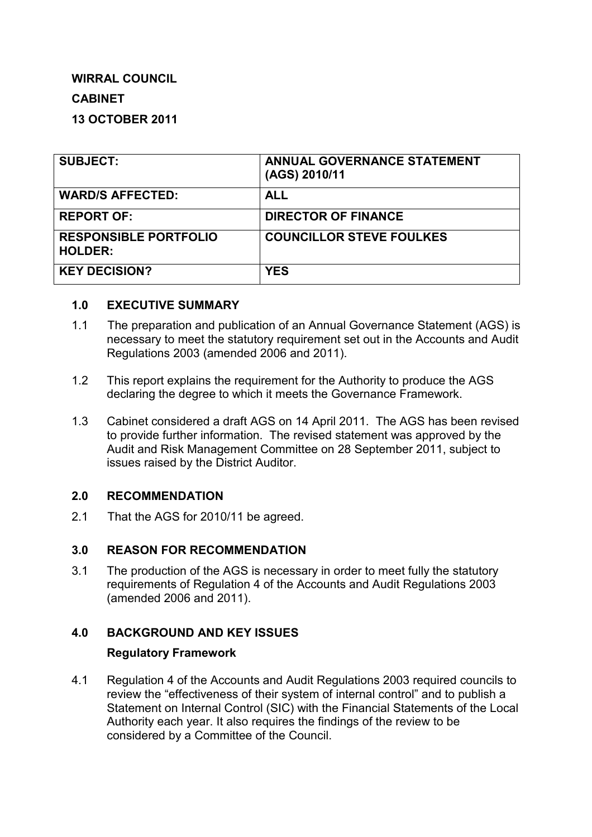# **WIRRAL COUNCIL**

# **CABINET**

# **13 OCTOBER 2011**

| <b>SUBJECT:</b>                                | <b>ANNUAL GOVERNANCE STATEMENT</b><br>(AGS) 2010/11 |
|------------------------------------------------|-----------------------------------------------------|
| <b>WARD/S AFFECTED:</b>                        | <b>ALL</b>                                          |
| <b>REPORT OF:</b>                              | <b>DIRECTOR OF FINANCE</b>                          |
| <b>RESPONSIBLE PORTFOLIO</b><br><b>HOLDER:</b> | <b>COUNCILLOR STEVE FOULKES</b>                     |
| <b>KEY DECISION?</b>                           | <b>YES</b>                                          |

### **1.0 EXECUTIVE SUMMARY**

- 1.1 The preparation and publication of an Annual Governance Statement (AGS) is necessary to meet the statutory requirement set out in the Accounts and Audit Regulations 2003 (amended 2006 and 2011).
- 1.2 This report explains the requirement for the Authority to produce the AGS declaring the degree to which it meets the Governance Framework.
- 1.3 Cabinet considered a draft AGS on 14 April 2011. The AGS has been revised to provide further information. The revised statement was approved by the Audit and Risk Management Committee on 28 September 2011, subject to issues raised by the District Auditor.

### **2.0 RECOMMENDATION**

2.1 That the AGS for 2010/11 be agreed.

### **3.0 REASON FOR RECOMMENDATION**

3.1 The production of the AGS is necessary in order to meet fully the statutory requirements of Regulation 4 of the Accounts and Audit Regulations 2003 (amended 2006 and 2011).

### **4.0 BACKGROUND AND KEY ISSUES**

### **Regulatory Framework**

4.1 Regulation 4 of the Accounts and Audit Regulations 2003 required councils to review the "effectiveness of their system of internal control" and to publish a Statement on Internal Control (SIC) with the Financial Statements of the Local Authority each year. It also requires the findings of the review to be considered by a Committee of the Council.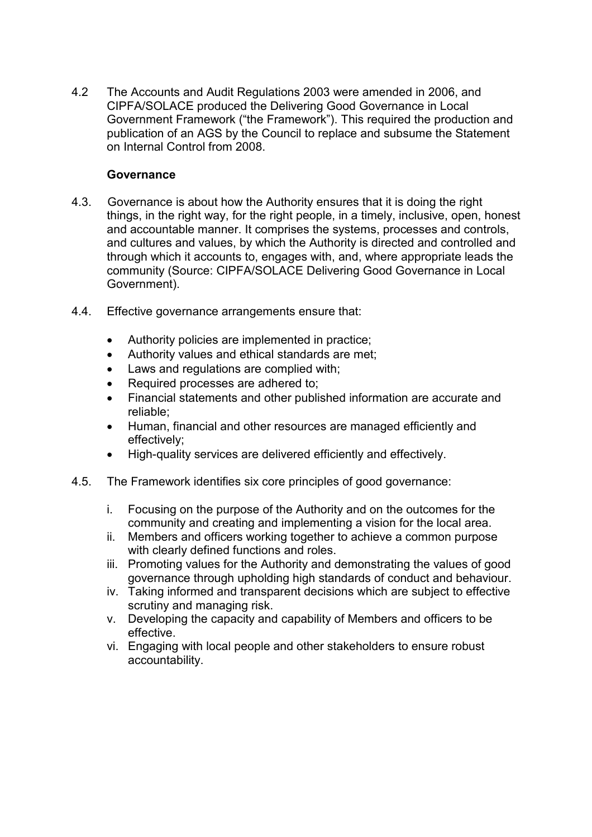4.2 The Accounts and Audit Regulations 2003 were amended in 2006, and CIPFA/SOLACE produced the Delivering Good Governance in Local Government Framework ("the Framework"). This required the production and publication of an AGS by the Council to replace and subsume the Statement on Internal Control from 2008.

### **Governance**

- 4.3. Governance is about how the Authority ensures that it is doing the right things, in the right way, for the right people, in a timely, inclusive, open, honest and accountable manner. It comprises the systems, processes and controls, and cultures and values, by which the Authority is directed and controlled and through which it accounts to, engages with, and, where appropriate leads the community (Source: CIPFA/SOLACE Delivering Good Governance in Local Government).
- 4.4. Effective governance arrangements ensure that:
	- Authority policies are implemented in practice;
	- Authority values and ethical standards are met;
	- Laws and regulations are complied with:
	- Required processes are adhered to:
	- Financial statements and other published information are accurate and reliable;
	- Human, financial and other resources are managed efficiently and effectively;
	- High-quality services are delivered efficiently and effectively.
- 4.5. The Framework identifies six core principles of good governance:
	- i. Focusing on the purpose of the Authority and on the outcomes for the community and creating and implementing a vision for the local area.
	- ii. Members and officers working together to achieve a common purpose with clearly defined functions and roles.
	- iii. Promoting values for the Authority and demonstrating the values of good governance through upholding high standards of conduct and behaviour.
	- iv. Taking informed and transparent decisions which are subject to effective scrutiny and managing risk.
	- v. Developing the capacity and capability of Members and officers to be effective.
	- vi. Engaging with local people and other stakeholders to ensure robust accountability.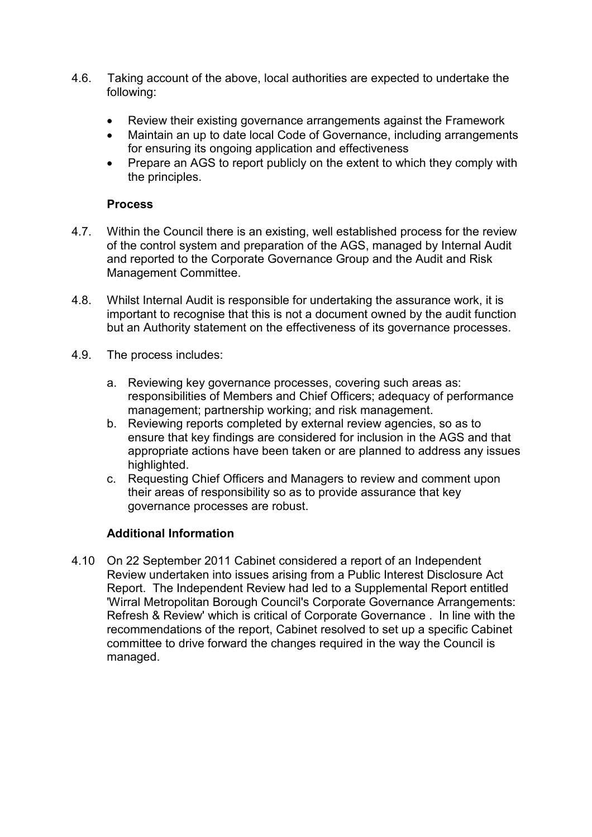- 4.6. Taking account of the above, local authorities are expected to undertake the following:
	- Review their existing governance arrangements against the Framework
	- Maintain an up to date local Code of Governance, including arrangements for ensuring its ongoing application and effectiveness
	- Prepare an AGS to report publicly on the extent to which they comply with the principles.

### **Process**

- 4.7. Within the Council there is an existing, well established process for the review of the control system and preparation of the AGS, managed by Internal Audit and reported to the Corporate Governance Group and the Audit and Risk Management Committee.
- 4.8. Whilst Internal Audit is responsible for undertaking the assurance work, it is important to recognise that this is not a document owned by the audit function but an Authority statement on the effectiveness of its governance processes.
- 4.9. The process includes:
	- a. Reviewing key governance processes, covering such areas as: responsibilities of Members and Chief Officers; adequacy of performance management; partnership working; and risk management.
	- b. Reviewing reports completed by external review agencies, so as to ensure that key findings are considered for inclusion in the AGS and that appropriate actions have been taken or are planned to address any issues highlighted.
	- c. Requesting Chief Officers and Managers to review and comment upon their areas of responsibility so as to provide assurance that key governance processes are robust.

### **Additional Information**

4.10 On 22 September 2011 Cabinet considered a report of an Independent Review undertaken into issues arising from a Public Interest Disclosure Act Report. The Independent Review had led to a Supplemental Report entitled 'Wirral Metropolitan Borough Council's Corporate Governance Arrangements: Refresh & Review' which is critical of Corporate Governance . In line with the recommendations of the report, Cabinet resolved to set up a specific Cabinet committee to drive forward the changes required in the way the Council is managed.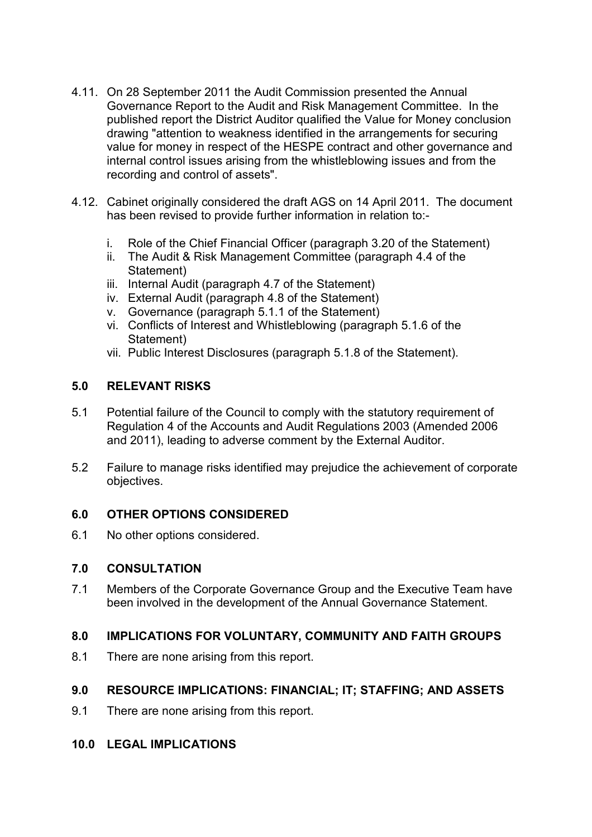- 4.11. On 28 September 2011 the Audit Commission presented the Annual Governance Report to the Audit and Risk Management Committee. In the published report the District Auditor qualified the Value for Money conclusion drawing "attention to weakness identified in the arrangements for securing value for money in respect of the HESPE contract and other governance and internal control issues arising from the whistleblowing issues and from the recording and control of assets".
- 4.12. Cabinet originally considered the draft AGS on 14 April 2011. The document has been revised to provide further information in relation to:
	- i. Role of the Chief Financial Officer (paragraph 3.20 of the Statement)
	- ii. The Audit & Risk Management Committee (paragraph 4.4 of the Statement)
	- iii. Internal Audit (paragraph 4.7 of the Statement)
	- iv. External Audit (paragraph 4.8 of the Statement)
	- v. Governance (paragraph 5.1.1 of the Statement)
	- vi. Conflicts of Interest and Whistleblowing (paragraph 5.1.6 of the Statement)
	- vii. Public Interest Disclosures (paragraph 5.1.8 of the Statement).

### **5.0 RELEVANT RISKS**

- 5.1 Potential failure of the Council to comply with the statutory requirement of Regulation 4 of the Accounts and Audit Regulations 2003 (Amended 2006 and 2011), leading to adverse comment by the External Auditor.
- 5.2 Failure to manage risks identified may prejudice the achievement of corporate objectives.

#### **6.0 OTHER OPTIONS CONSIDERED**

6.1 No other options considered.

#### **7.0 CONSULTATION**

7.1 Members of the Corporate Governance Group and the Executive Team have been involved in the development of the Annual Governance Statement.

### **8.0 IMPLICATIONS FOR VOLUNTARY, COMMUNITY AND FAITH GROUPS**

8.1 There are none arising from this report.

### **9.0 RESOURCE IMPLICATIONS: FINANCIAL; IT; STAFFING; AND ASSETS**

9.1 There are none arising from this report.

### **10.0 LEGAL IMPLICATIONS**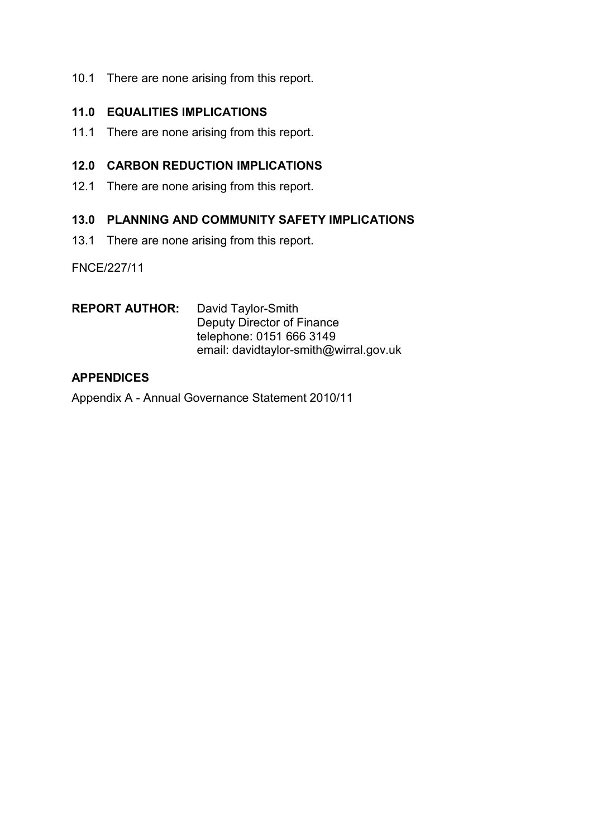10.1 There are none arising from this report.

### **11.0 EQUALITIES IMPLICATIONS**

11.1 There are none arising from this report.

### **12.0 CARBON REDUCTION IMPLICATIONS**

12.1 There are none arising from this report.

#### **13.0 PLANNING AND COMMUNITY SAFETY IMPLICATIONS**

13.1 There are none arising from this report.

FNCE/227/11

**REPORT AUTHOR:** David Taylor-Smith Deputy Director of Finance telephone: 0151 666 3149 email: davidtaylor-smith@wirral.gov.uk

### **APPENDICES**

Appendix A - Annual Governance Statement 2010/11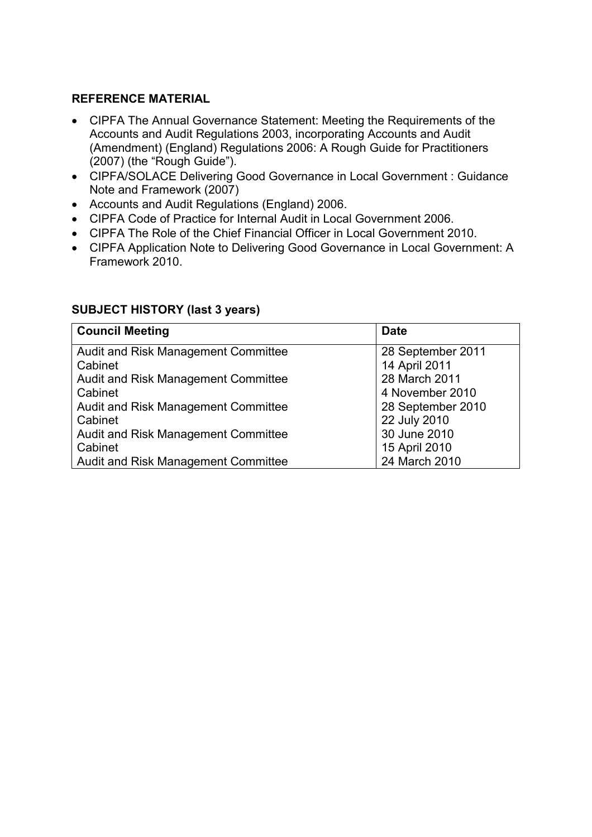### **REFERENCE MATERIAL**

- CIPFA The Annual Governance Statement: Meeting the Requirements of the Accounts and Audit Regulations 2003, incorporating Accounts and Audit (Amendment) (England) Regulations 2006: A Rough Guide for Practitioners (2007) (the "Rough Guide").
- CIPFA/SOLACE Delivering Good Governance in Local Government : Guidance Note and Framework (2007)
- Accounts and Audit Regulations (England) 2006.
- CIPFA Code of Practice for Internal Audit in Local Government 2006.
- CIPFA The Role of the Chief Financial Officer in Local Government 2010.
- CIPFA Application Note to Delivering Good Governance in Local Government: A Framework 2010.

| <b>Council Meeting</b>                     | <b>Date</b>       |  |
|--------------------------------------------|-------------------|--|
| Audit and Risk Management Committee        | 28 September 2011 |  |
| Cabinet                                    | 14 April 2011     |  |
| Audit and Risk Management Committee        | 28 March 2011     |  |
| Cabinet                                    | 4 November 2010   |  |
| <b>Audit and Risk Management Committee</b> | 28 September 2010 |  |
| Cabinet                                    | 22 July 2010      |  |
| <b>Audit and Risk Management Committee</b> | 30 June 2010      |  |
| Cabinet                                    | 15 April 2010     |  |
| Audit and Risk Management Committee        | 24 March 2010     |  |

### **SUBJECT HISTORY (last 3 years)**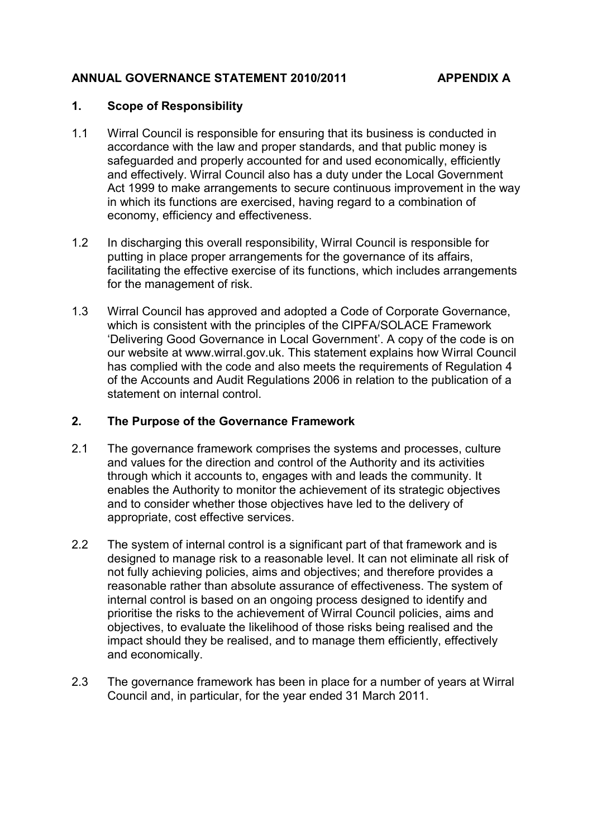### **ANNUAL GOVERNANCE STATEMENT 2010/2011 APPENDIX A**

#### **1. Scope of Responsibility**

- 1.1 Wirral Council is responsible for ensuring that its business is conducted in accordance with the law and proper standards, and that public money is safeguarded and properly accounted for and used economically, efficiently and effectively. Wirral Council also has a duty under the Local Government Act 1999 to make arrangements to secure continuous improvement in the way in which its functions are exercised, having regard to a combination of economy, efficiency and effectiveness.
- 1.2 In discharging this overall responsibility, Wirral Council is responsible for putting in place proper arrangements for the governance of its affairs, facilitating the effective exercise of its functions, which includes arrangements for the management of risk.
- 1.3 Wirral Council has approved and adopted a Code of Corporate Governance, which is consistent with the principles of the CIPFA/SOLACE Framework 'Delivering Good Governance in Local Government'. A copy of the code is on our website at www.wirral.gov.uk. This statement explains how Wirral Council has complied with the code and also meets the requirements of Regulation 4 of the Accounts and Audit Regulations 2006 in relation to the publication of a statement on internal control.

#### **2. The Purpose of the Governance Framework**

- 2.1 The governance framework comprises the systems and processes, culture and values for the direction and control of the Authority and its activities through which it accounts to, engages with and leads the community. It enables the Authority to monitor the achievement of its strategic objectives and to consider whether those objectives have led to the delivery of appropriate, cost effective services.
- 2.2 The system of internal control is a significant part of that framework and is designed to manage risk to a reasonable level. It can not eliminate all risk of not fully achieving policies, aims and objectives; and therefore provides a reasonable rather than absolute assurance of effectiveness. The system of internal control is based on an ongoing process designed to identify and prioritise the risks to the achievement of Wirral Council policies, aims and objectives, to evaluate the likelihood of those risks being realised and the impact should they be realised, and to manage them efficiently, effectively and economically.
- 2.3 The governance framework has been in place for a number of years at Wirral Council and, in particular, for the year ended 31 March 2011.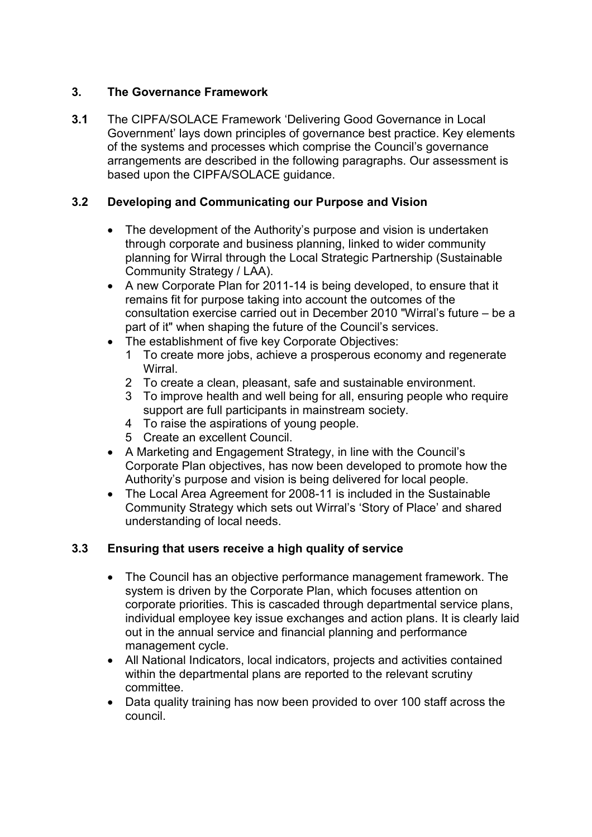# **3. The Governance Framework**

**3.1** The CIPFA/SOLACE Framework 'Delivering Good Governance in Local Government' lays down principles of governance best practice. Key elements of the systems and processes which comprise the Council's governance arrangements are described in the following paragraphs. Our assessment is based upon the CIPFA/SOLACE guidance.

# **3.2 Developing and Communicating our Purpose and Vision**

- The development of the Authority's purpose and vision is undertaken through corporate and business planning, linked to wider community planning for Wirral through the Local Strategic Partnership (Sustainable Community Strategy / LAA).
- A new Corporate Plan for 2011-14 is being developed, to ensure that it remains fit for purpose taking into account the outcomes of the consultation exercise carried out in December 2010 "Wirral's future – be a part of it" when shaping the future of the Council's services.
- The establishment of five key Corporate Objectives:
	- 1 To create more jobs, achieve a prosperous economy and regenerate **Wirral**
	- 2 To create a clean, pleasant, safe and sustainable environment.
	- 3 To improve health and well being for all, ensuring people who require support are full participants in mainstream society.
	- 4 To raise the aspirations of young people.
	- 5 Create an excellent Council.
- A Marketing and Engagement Strategy, in line with the Council's Corporate Plan objectives, has now been developed to promote how the Authority's purpose and vision is being delivered for local people.
- The Local Area Agreement for 2008-11 is included in the Sustainable Community Strategy which sets out Wirral's 'Story of Place' and shared understanding of local needs.

### **3.3 Ensuring that users receive a high quality of service**

- The Council has an objective performance management framework. The system is driven by the Corporate Plan, which focuses attention on corporate priorities. This is cascaded through departmental service plans, individual employee key issue exchanges and action plans. It is clearly laid out in the annual service and financial planning and performance management cycle.
- All National Indicators, local indicators, projects and activities contained within the departmental plans are reported to the relevant scrutiny committee.
- Data quality training has now been provided to over 100 staff across the council.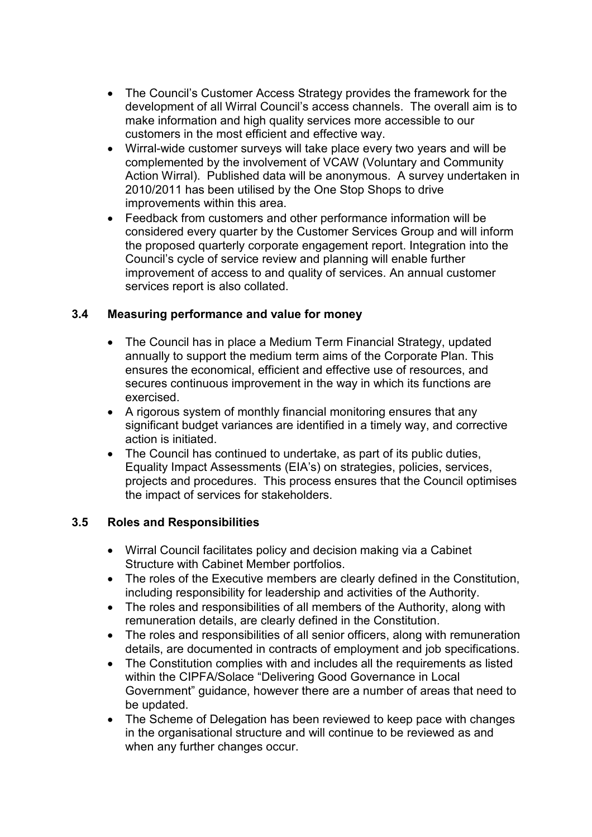- The Council's Customer Access Strategy provides the framework for the development of all Wirral Council's access channels. The overall aim is to make information and high quality services more accessible to our customers in the most efficient and effective way.
- Wirral-wide customer surveys will take place every two years and will be complemented by the involvement of VCAW (Voluntary and Community Action Wirral). Published data will be anonymous. A survey undertaken in 2010/2011 has been utilised by the One Stop Shops to drive improvements within this area.
- Feedback from customers and other performance information will be considered every quarter by the Customer Services Group and will inform the proposed quarterly corporate engagement report. Integration into the Council's cycle of service review and planning will enable further improvement of access to and quality of services. An annual customer services report is also collated.

### **3.4 Measuring performance and value for money**

- The Council has in place a Medium Term Financial Strategy, updated annually to support the medium term aims of the Corporate Plan. This ensures the economical, efficient and effective use of resources, and secures continuous improvement in the way in which its functions are exercised.
- A rigorous system of monthly financial monitoring ensures that any significant budget variances are identified in a timely way, and corrective action is initiated.
- The Council has continued to undertake, as part of its public duties, Equality Impact Assessments (EIA's) on strategies, policies, services, projects and procedures. This process ensures that the Council optimises the impact of services for stakeholders.

### **3.5 Roles and Responsibilities**

- Wirral Council facilitates policy and decision making via a Cabinet Structure with Cabinet Member portfolios.
- The roles of the Executive members are clearly defined in the Constitution, including responsibility for leadership and activities of the Authority.
- The roles and responsibilities of all members of the Authority, along with remuneration details, are clearly defined in the Constitution.
- The roles and responsibilities of all senior officers, along with remuneration details, are documented in contracts of employment and job specifications.
- The Constitution complies with and includes all the requirements as listed within the CIPFA/Solace "Delivering Good Governance in Local Government" guidance, however there are a number of areas that need to be updated.
- The Scheme of Delegation has been reviewed to keep pace with changes in the organisational structure and will continue to be reviewed as and when any further changes occur.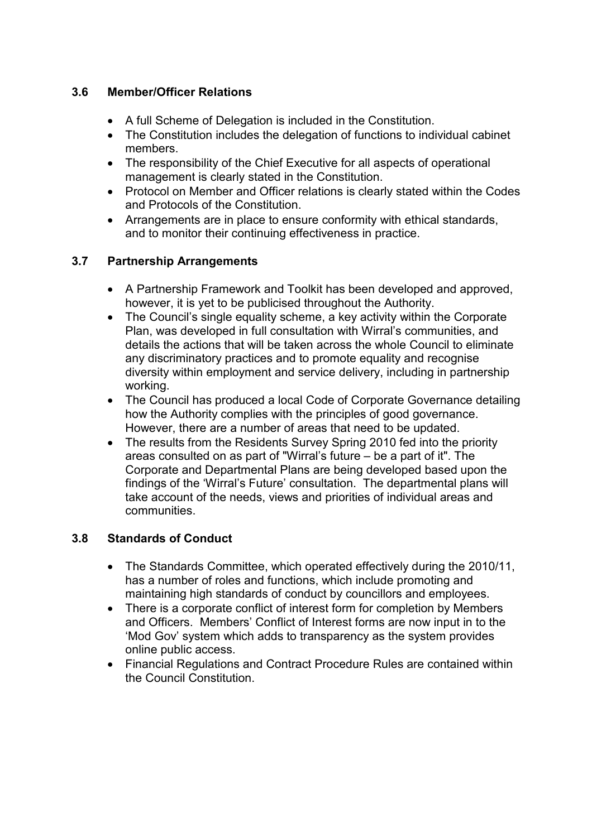# **3.6 Member/Officer Relations**

- A full Scheme of Delegation is included in the Constitution.
- The Constitution includes the delegation of functions to individual cabinet members.
- The responsibility of the Chief Executive for all aspects of operational management is clearly stated in the Constitution.
- Protocol on Member and Officer relations is clearly stated within the Codes and Protocols of the Constitution.
- Arrangements are in place to ensure conformity with ethical standards, and to monitor their continuing effectiveness in practice.

# **3.7 Partnership Arrangements**

- A Partnership Framework and Toolkit has been developed and approved, however, it is yet to be publicised throughout the Authority.
- The Council's single equality scheme, a key activity within the Corporate Plan, was developed in full consultation with Wirral's communities, and details the actions that will be taken across the whole Council to eliminate any discriminatory practices and to promote equality and recognise diversity within employment and service delivery, including in partnership working.
- The Council has produced a local Code of Corporate Governance detailing how the Authority complies with the principles of good governance. However, there are a number of areas that need to be updated.
- The results from the Residents Survey Spring 2010 fed into the priority areas consulted on as part of "Wirral's future – be a part of it". The Corporate and Departmental Plans are being developed based upon the findings of the 'Wirral's Future' consultation. The departmental plans will take account of the needs, views and priorities of individual areas and communities.

### **3.8 Standards of Conduct**

- The Standards Committee, which operated effectively during the 2010/11, has a number of roles and functions, which include promoting and maintaining high standards of conduct by councillors and employees.
- There is a corporate conflict of interest form for completion by Members and Officers. Members' Conflict of Interest forms are now input in to the 'Mod Gov' system which adds to transparency as the system provides online public access.
- Financial Regulations and Contract Procedure Rules are contained within the Council Constitution.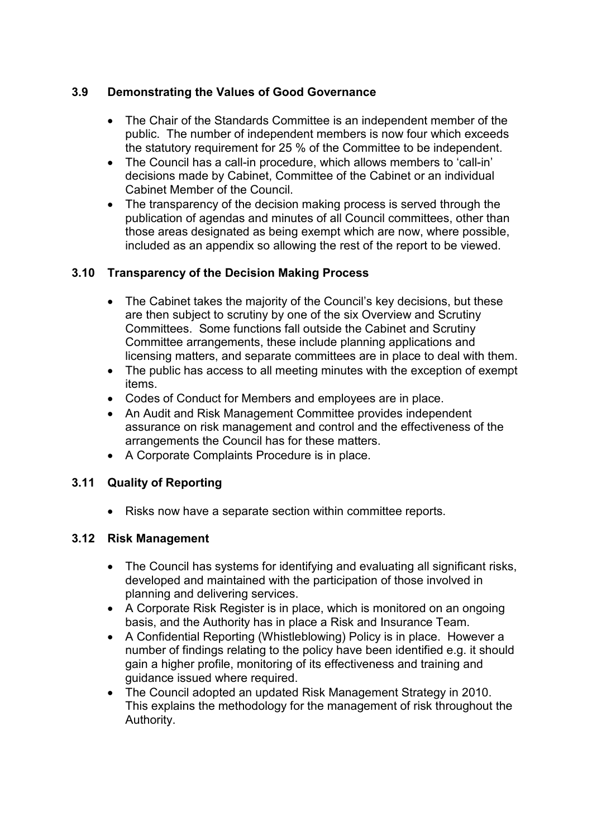# **3.9 Demonstrating the Values of Good Governance**

- The Chair of the Standards Committee is an independent member of the public. The number of independent members is now four which exceeds the statutory requirement for 25 % of the Committee to be independent.
- The Council has a call-in procedure, which allows members to 'call-in' decisions made by Cabinet, Committee of the Cabinet or an individual Cabinet Member of the Council.
- The transparency of the decision making process is served through the publication of agendas and minutes of all Council committees, other than those areas designated as being exempt which are now, where possible, included as an appendix so allowing the rest of the report to be viewed.

# **3.10 Transparency of the Decision Making Process**

- The Cabinet takes the majority of the Council's key decisions, but these are then subject to scrutiny by one of the six Overview and Scrutiny Committees. Some functions fall outside the Cabinet and Scrutiny Committee arrangements, these include planning applications and licensing matters, and separate committees are in place to deal with them.
- The public has access to all meeting minutes with the exception of exempt items.
- Codes of Conduct for Members and employees are in place.
- An Audit and Risk Management Committee provides independent assurance on risk management and control and the effectiveness of the arrangements the Council has for these matters.
- A Corporate Complaints Procedure is in place.

# **3.11 Quality of Reporting**

• Risks now have a separate section within committee reports.

### **3.12 Risk Management**

- The Council has systems for identifying and evaluating all significant risks, developed and maintained with the participation of those involved in planning and delivering services.
- A Corporate Risk Register is in place, which is monitored on an ongoing basis, and the Authority has in place a Risk and Insurance Team.
- A Confidential Reporting (Whistleblowing) Policy is in place. However a number of findings relating to the policy have been identified e.g. it should gain a higher profile, monitoring of its effectiveness and training and guidance issued where required.
- The Council adopted an updated Risk Management Strategy in 2010. This explains the methodology for the management of risk throughout the Authority.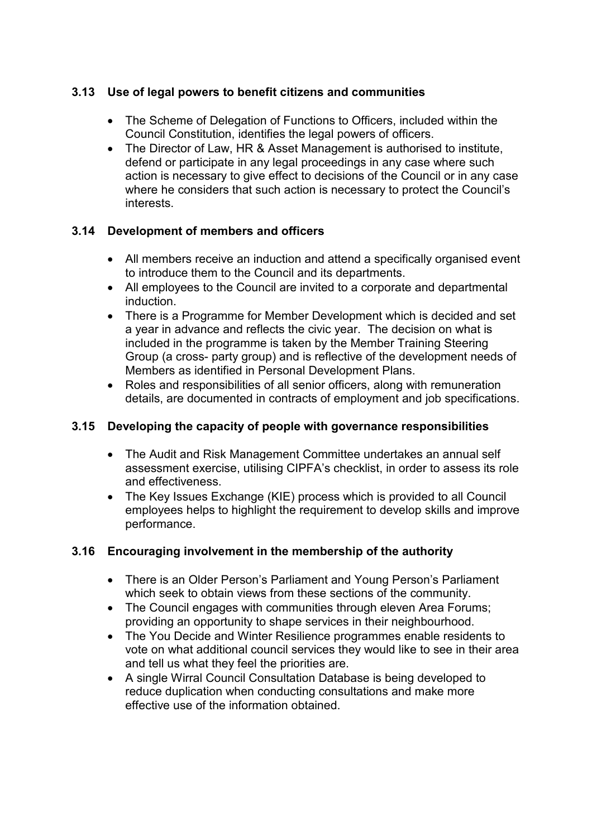# **3.13 Use of legal powers to benefit citizens and communities**

- The Scheme of Delegation of Functions to Officers, included within the Council Constitution, identifies the legal powers of officers.
- The Director of Law, HR & Asset Management is authorised to institute, defend or participate in any legal proceedings in any case where such action is necessary to give effect to decisions of the Council or in any case where he considers that such action is necessary to protect the Council's interests.

### **3.14 Development of members and officers**

- All members receive an induction and attend a specifically organised event to introduce them to the Council and its departments.
- All employees to the Council are invited to a corporate and departmental induction.
- There is a Programme for Member Development which is decided and set a year in advance and reflects the civic year. The decision on what is included in the programme is taken by the Member Training Steering Group (a cross- party group) and is reflective of the development needs of Members as identified in Personal Development Plans.
- Roles and responsibilities of all senior officers, along with remuneration details, are documented in contracts of employment and job specifications.

### **3.15 Developing the capacity of people with governance responsibilities**

- The Audit and Risk Management Committee undertakes an annual self assessment exercise, utilising CIPFA's checklist, in order to assess its role and effectiveness.
- The Key Issues Exchange (KIE) process which is provided to all Council employees helps to highlight the requirement to develop skills and improve performance.

### **3.16 Encouraging involvement in the membership of the authority**

- There is an Older Person's Parliament and Young Person's Parliament which seek to obtain views from these sections of the community.
- The Council engages with communities through eleven Area Forums; providing an opportunity to shape services in their neighbourhood.
- The You Decide and Winter Resilience programmes enable residents to vote on what additional council services they would like to see in their area and tell us what they feel the priorities are.
- A single Wirral Council Consultation Database is being developed to reduce duplication when conducting consultations and make more effective use of the information obtained.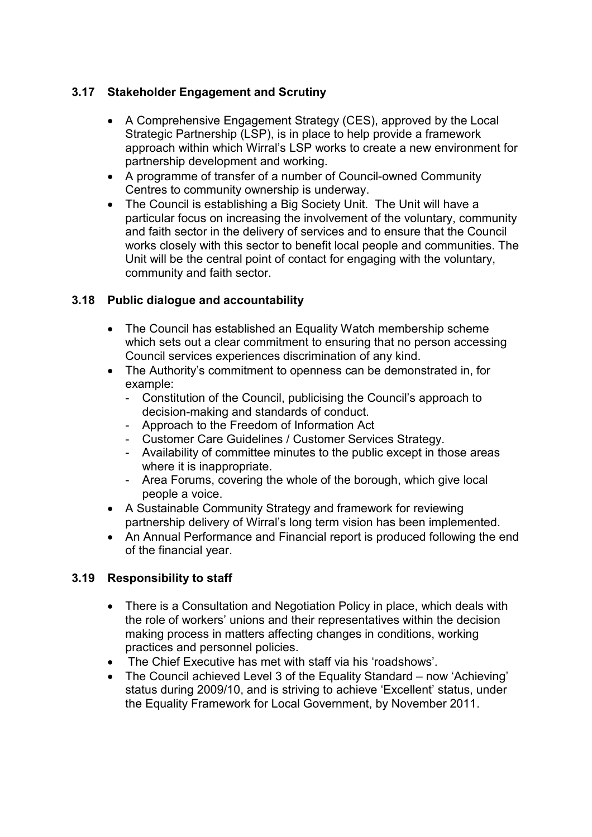# **3.17 Stakeholder Engagement and Scrutiny**

- A Comprehensive Engagement Strategy (CES), approved by the Local Strategic Partnership (LSP), is in place to help provide a framework approach within which Wirral's LSP works to create a new environment for partnership development and working.
- A programme of transfer of a number of Council-owned Community Centres to community ownership is underway.
- The Council is establishing a Big Society Unit. The Unit will have a particular focus on increasing the involvement of the voluntary, community and faith sector in the delivery of services and to ensure that the Council works closely with this sector to benefit local people and communities. The Unit will be the central point of contact for engaging with the voluntary, community and faith sector.

### **3.18 Public dialogue and accountability**

- The Council has established an Equality Watch membership scheme which sets out a clear commitment to ensuring that no person accessing Council services experiences discrimination of any kind.
- The Authority's commitment to openness can be demonstrated in, for example:
	- Constitution of the Council, publicising the Council's approach to decision-making and standards of conduct.
	- Approach to the Freedom of Information Act
	- Customer Care Guidelines / Customer Services Strategy.
	- Availability of committee minutes to the public except in those areas where it is inappropriate.
	- Area Forums, covering the whole of the borough, which give local people a voice.
- A Sustainable Community Strategy and framework for reviewing partnership delivery of Wirral's long term vision has been implemented.
- An Annual Performance and Financial report is produced following the end of the financial year.

### **3.19 Responsibility to staff**

- There is a Consultation and Negotiation Policy in place, which deals with the role of workers' unions and their representatives within the decision making process in matters affecting changes in conditions, working practices and personnel policies.
- The Chief Executive has met with staff via his 'roadshows'.
- The Council achieved Level 3 of the Equality Standard now 'Achieving' status during 2009/10, and is striving to achieve 'Excellent' status, under the Equality Framework for Local Government, by November 2011.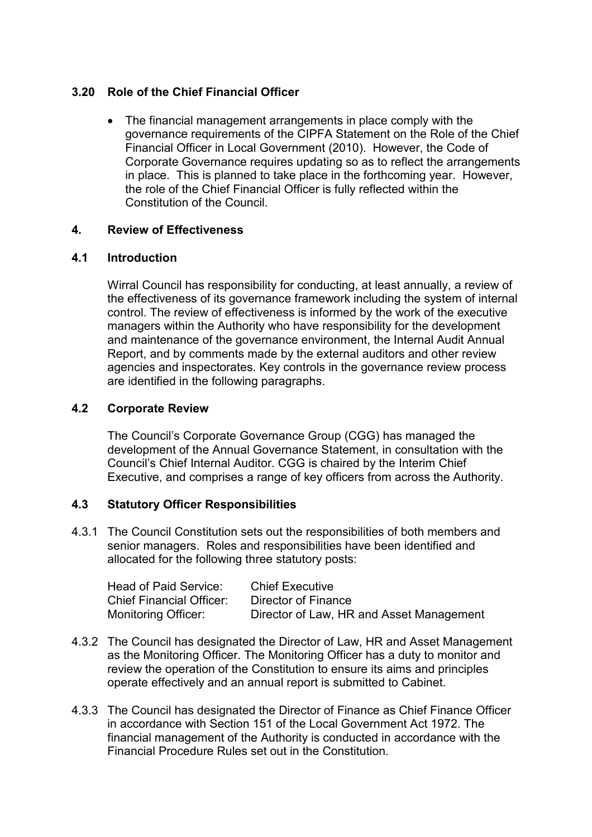### **3.20 Role of the Chief Financial Officer**

• The financial management arrangements in place comply with the governance requirements of the CIPFA Statement on the Role of the Chief Financial Officer in Local Government (2010). However, the Code of Corporate Governance requires updating so as to reflect the arrangements in place. This is planned to take place in the forthcoming year. However, the role of the Chief Financial Officer is fully reflected within the Constitution of the Council.

#### **4. Review of Effectiveness**

#### **4.1 Introduction**

 Wirral Council has responsibility for conducting, at least annually, a review of the effectiveness of its governance framework including the system of internal control. The review of effectiveness is informed by the work of the executive managers within the Authority who have responsibility for the development and maintenance of the governance environment, the Internal Audit Annual Report, and by comments made by the external auditors and other review agencies and inspectorates. Key controls in the governance review process are identified in the following paragraphs.

#### **4.2 Corporate Review**

The Council's Corporate Governance Group (CGG) has managed the development of the Annual Governance Statement, in consultation with the Council's Chief Internal Auditor. CGG is chaired by the Interim Chief Executive, and comprises a range of key officers from across the Authority.

#### **4.3 Statutory Officer Responsibilities**

4.3.1 The Council Constitution sets out the responsibilities of both members and senior managers. Roles and responsibilities have been identified and allocated for the following three statutory posts:

| Head of Paid Service:           | <b>Chief Executive</b>                   |
|---------------------------------|------------------------------------------|
| <b>Chief Financial Officer:</b> | Director of Finance                      |
| <b>Monitoring Officer:</b>      | Director of Law, HR and Asset Management |

- 4.3.2 The Council has designated the Director of Law, HR and Asset Management as the Monitoring Officer. The Monitoring Officer has a duty to monitor and review the operation of the Constitution to ensure its aims and principles operate effectively and an annual report is submitted to Cabinet.
- 4.3.3 The Council has designated the Director of Finance as Chief Finance Officer in accordance with Section 151 of the Local Government Act 1972. The financial management of the Authority is conducted in accordance with the Financial Procedure Rules set out in the Constitution.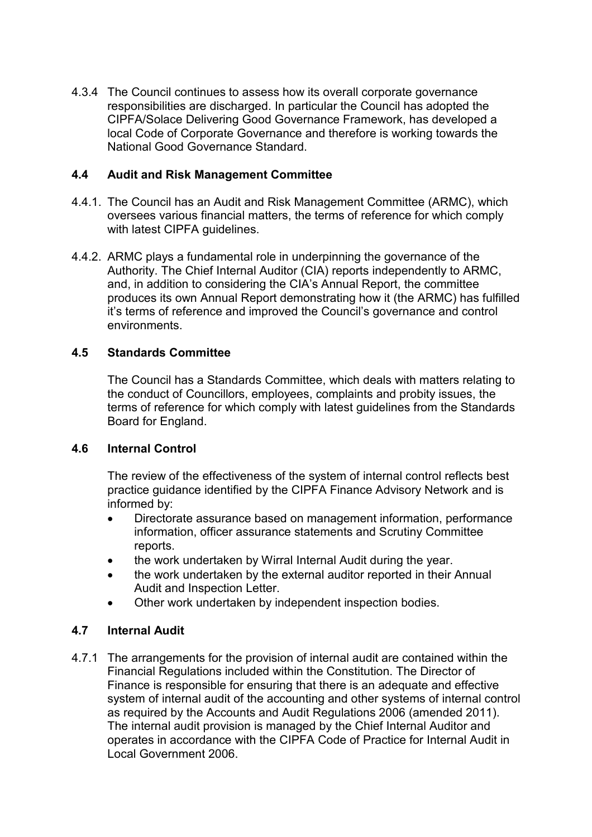4.3.4 The Council continues to assess how its overall corporate governance responsibilities are discharged. In particular the Council has adopted the CIPFA/Solace Delivering Good Governance Framework, has developed a local Code of Corporate Governance and therefore is working towards the National Good Governance Standard.

### **4.4 Audit and Risk Management Committee**

- 4.4.1. The Council has an Audit and Risk Management Committee (ARMC), which oversees various financial matters, the terms of reference for which comply with latest CIPFA guidelines.
- 4.4.2. ARMC plays a fundamental role in underpinning the governance of the Authority. The Chief Internal Auditor (CIA) reports independently to ARMC, and, in addition to considering the CIA's Annual Report, the committee produces its own Annual Report demonstrating how it (the ARMC) has fulfilled it's terms of reference and improved the Council's governance and control environments.

### **4.5 Standards Committee**

 The Council has a Standards Committee, which deals with matters relating to the conduct of Councillors, employees, complaints and probity issues, the terms of reference for which comply with latest guidelines from the Standards Board for England.

#### **4.6 Internal Control**

The review of the effectiveness of the system of internal control reflects best practice guidance identified by the CIPFA Finance Advisory Network and is informed by:

- Directorate assurance based on management information, performance information, officer assurance statements and Scrutiny Committee reports.
- the work undertaken by Wirral Internal Audit during the year.
- the work undertaken by the external auditor reported in their Annual Audit and Inspection Letter.
- Other work undertaken by independent inspection bodies.

### **4.7 Internal Audit**

4.7.1 The arrangements for the provision of internal audit are contained within the Financial Regulations included within the Constitution. The Director of Finance is responsible for ensuring that there is an adequate and effective system of internal audit of the accounting and other systems of internal control as required by the Accounts and Audit Regulations 2006 (amended 2011). The internal audit provision is managed by the Chief Internal Auditor and operates in accordance with the CIPFA Code of Practice for Internal Audit in Local Government 2006.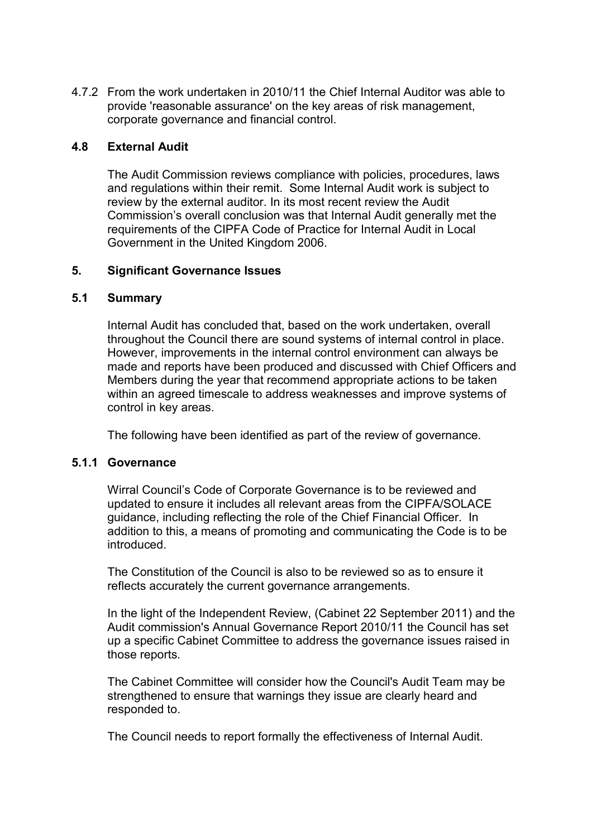4.7.2 From the work undertaken in 2010/11 the Chief Internal Auditor was able to provide 'reasonable assurance' on the key areas of risk management, corporate governance and financial control.

#### **4.8 External Audit**

 The Audit Commission reviews compliance with policies, procedures, laws and regulations within their remit. Some Internal Audit work is subject to review by the external auditor. In its most recent review the Audit Commission's overall conclusion was that Internal Audit generally met the requirements of the CIPFA Code of Practice for Internal Audit in Local Government in the United Kingdom 2006.

#### **5. Significant Governance Issues**

#### **5.1 Summary**

 Internal Audit has concluded that, based on the work undertaken, overall throughout the Council there are sound systems of internal control in place. However, improvements in the internal control environment can always be made and reports have been produced and discussed with Chief Officers and Members during the year that recommend appropriate actions to be taken within an agreed timescale to address weaknesses and improve systems of control in key areas.

The following have been identified as part of the review of governance.

#### **5.1.1 Governance**

 Wirral Council's Code of Corporate Governance is to be reviewed and updated to ensure it includes all relevant areas from the CIPFA/SOLACE guidance, including reflecting the role of the Chief Financial Officer. In addition to this, a means of promoting and communicating the Code is to be introduced.

 The Constitution of the Council is also to be reviewed so as to ensure it reflects accurately the current governance arrangements.

 In the light of the Independent Review, (Cabinet 22 September 2011) and the Audit commission's Annual Governance Report 2010/11 the Council has set up a specific Cabinet Committee to address the governance issues raised in those reports.

 The Cabinet Committee will consider how the Council's Audit Team may be strengthened to ensure that warnings they issue are clearly heard and responded to.

The Council needs to report formally the effectiveness of Internal Audit.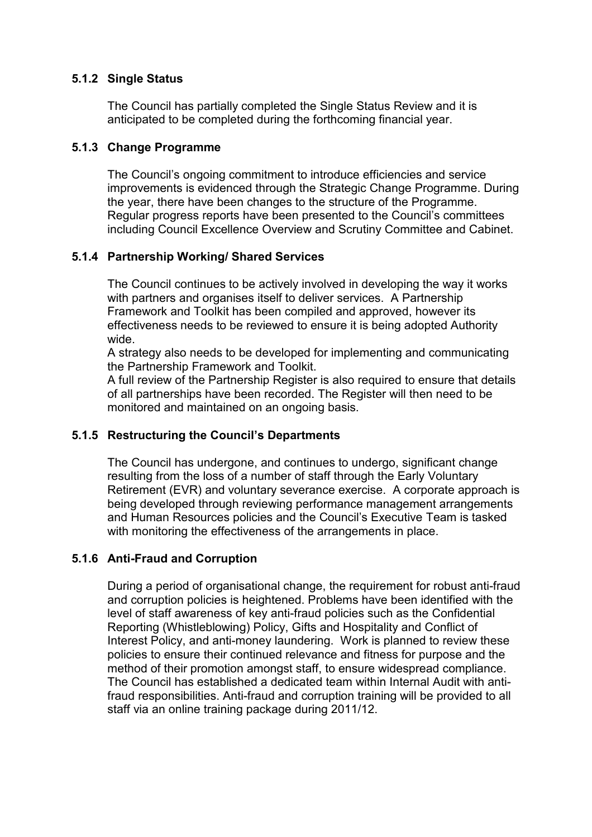### **5.1.2 Single Status**

The Council has partially completed the Single Status Review and it is anticipated to be completed during the forthcoming financial year.

#### **5.1.3 Change Programme**

 The Council's ongoing commitment to introduce efficiencies and service improvements is evidenced through the Strategic Change Programme. During the year, there have been changes to the structure of the Programme. Regular progress reports have been presented to the Council's committees including Council Excellence Overview and Scrutiny Committee and Cabinet.

#### **5.1.4 Partnership Working/ Shared Services**

The Council continues to be actively involved in developing the way it works with partners and organises itself to deliver services. A Partnership Framework and Toolkit has been compiled and approved, however its effectiveness needs to be reviewed to ensure it is being adopted Authority wide.

A strategy also needs to be developed for implementing and communicating the Partnership Framework and Toolkit.

A full review of the Partnership Register is also required to ensure that details of all partnerships have been recorded. The Register will then need to be monitored and maintained on an ongoing basis.

#### **5.1.5 Restructuring the Council's Departments**

The Council has undergone, and continues to undergo, significant change resulting from the loss of a number of staff through the Early Voluntary Retirement (EVR) and voluntary severance exercise. A corporate approach is being developed through reviewing performance management arrangements and Human Resources policies and the Council's Executive Team is tasked with monitoring the effectiveness of the arrangements in place.

#### **5.1.6 Anti-Fraud and Corruption**

During a period of organisational change, the requirement for robust anti-fraud and corruption policies is heightened. Problems have been identified with the level of staff awareness of key anti-fraud policies such as the Confidential Reporting (Whistleblowing) Policy, Gifts and Hospitality and Conflict of Interest Policy, and anti-money laundering. Work is planned to review these policies to ensure their continued relevance and fitness for purpose and the method of their promotion amongst staff, to ensure widespread compliance. The Council has established a dedicated team within Internal Audit with antifraud responsibilities. Anti-fraud and corruption training will be provided to all staff via an online training package during 2011/12.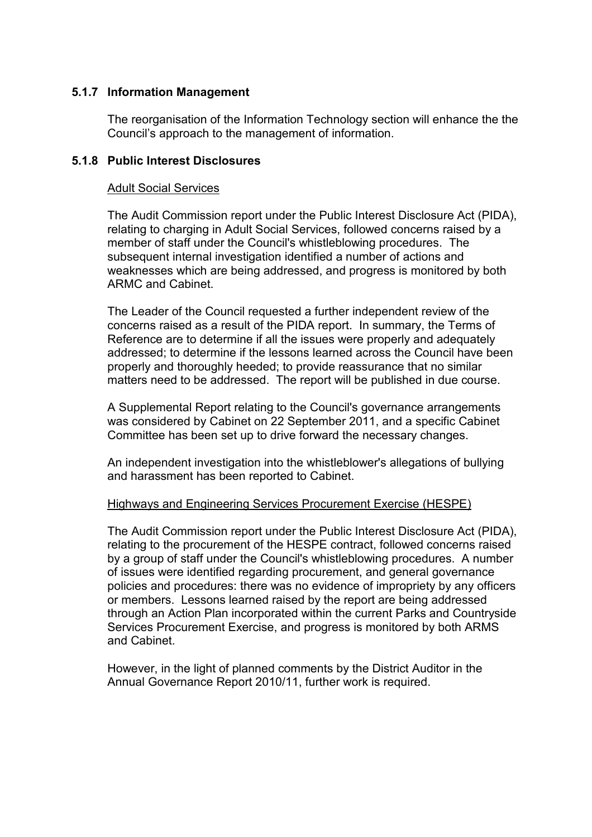#### **5.1.7 Information Management**

The reorganisation of the Information Technology section will enhance the the Council's approach to the management of information.

#### **5.1.8 Public Interest Disclosures**

#### Adult Social Services

The Audit Commission report under the Public Interest Disclosure Act (PIDA), relating to charging in Adult Social Services, followed concerns raised by a member of staff under the Council's whistleblowing procedures. The subsequent internal investigation identified a number of actions and weaknesses which are being addressed, and progress is monitored by both ARMC and Cabinet.

The Leader of the Council requested a further independent review of the concerns raised as a result of the PIDA report. In summary, the Terms of Reference are to determine if all the issues were properly and adequately addressed; to determine if the lessons learned across the Council have been properly and thoroughly heeded; to provide reassurance that no similar matters need to be addressed. The report will be published in due course.

A Supplemental Report relating to the Council's governance arrangements was considered by Cabinet on 22 September 2011, and a specific Cabinet Committee has been set up to drive forward the necessary changes.

An independent investigation into the whistleblower's allegations of bullying and harassment has been reported to Cabinet.

#### Highways and Engineering Services Procurement Exercise (HESPE)

The Audit Commission report under the Public Interest Disclosure Act (PIDA), relating to the procurement of the HESPE contract, followed concerns raised by a group of staff under the Council's whistleblowing procedures. A number of issues were identified regarding procurement, and general governance policies and procedures: there was no evidence of impropriety by any officers or members. Lessons learned raised by the report are being addressed through an Action Plan incorporated within the current Parks and Countryside Services Procurement Exercise, and progress is monitored by both ARMS and Cabinet.

However, in the light of planned comments by the District Auditor in the Annual Governance Report 2010/11, further work is required.